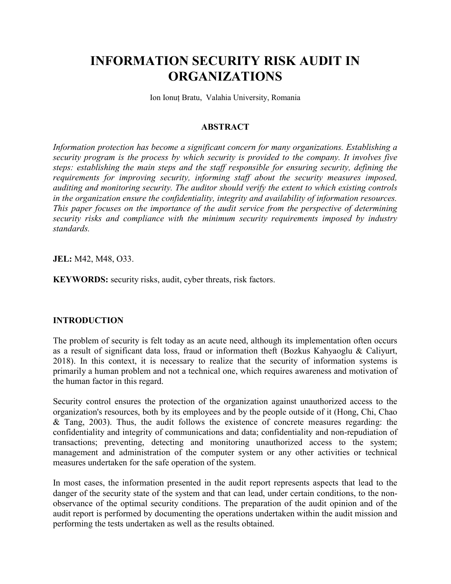# INFORMATION SECURITY RISK AUDIT IN ORGANIZATIONS

Ion Ionuț Bratu, Valahia University, Romania

#### ABSTRACT

Information protection has become a significant concern for many organizations. Establishing a security program is the process by which security is provided to the company. It involves five steps: establishing the main steps and the staff responsible for ensuring security, defining the requirements for improving security, informing staff about the security measures imposed, auditing and monitoring security. The auditor should verify the extent to which existing controls in the organization ensure the confidentiality, integrity and availability of information resources. This paper focuses on the importance of the audit service from the perspective of determining security risks and compliance with the minimum security requirements imposed by industry standards.

JEL: M42, M48, O33.

KEYWORDS: security risks, audit, cyber threats, risk factors.

### INTRODUCTION

The problem of security is felt today as an acute need, although its implementation often occurs as a result of significant data loss, fraud or information theft (Bozkus Kahyaoglu & Caliyurt, 2018). In this context, it is necessary to realize that the security of information systems is primarily a human problem and not a technical one, which requires awareness and motivation of the human factor in this regard.

Security control ensures the protection of the organization against unauthorized access to the organization's resources, both by its employees and by the people outside of it (Hong, Chi, Chao & Tang, 2003). Thus, the audit follows the existence of concrete measures regarding: the confidentiality and integrity of communications and data; confidentiality and non-repudiation of transactions; preventing, detecting and monitoring unauthorized access to the system; management and administration of the computer system or any other activities or technical measures undertaken for the safe operation of the system.

In most cases, the information presented in the audit report represents aspects that lead to the danger of the security state of the system and that can lead, under certain conditions, to the nonobservance of the optimal security conditions. The preparation of the audit opinion and of the audit report is performed by documenting the operations undertaken within the audit mission and performing the tests undertaken as well as the results obtained.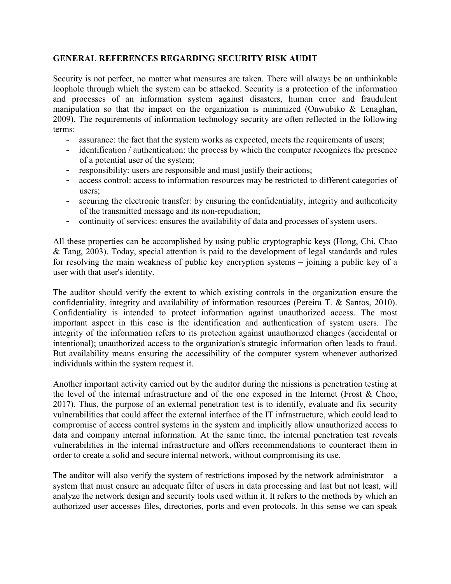## GENERAL REFERENCES REGARDING SECURITY RISK AUDIT

Security is not perfect, no matter what measures are taken. There will always be an unthinkable loophole through which the system can be attacked. Security is a protection of the information and processes of an information system against disasters, human error and fraudulent manipulation so that the impact on the organization is minimized (Onwubiko  $\&$  Lenaghan, 2009). The requirements of information technology security are often reflected in the following terms:

- assurance: the fact that the system works as expected, meets the requirements of users;
- identification / authentication: the process by which the computer recognizes the presence of a potential user of the system;
- responsibility: users are responsible and must justify their actions;
- access control: access to information resources may be restricted to different categories of users;
- securing the electronic transfer: by ensuring the confidentiality, integrity and authenticity of the transmitted message and its non-repudiation;
- continuity of services: ensures the availability of data and processes of system users.

All these properties can be accomplished by using public cryptographic keys (Hong, Chi, Chao & Tang, 2003). Today, special attention is paid to the development of legal standards and rules for resolving the main weakness of public key encryption systems – joining a public key of a user with that user's identity.

The auditor should verify the extent to which existing controls in the organization ensure the confidentiality, integrity and availability of information resources (Pereira T. & Santos, 2010). Confidentiality is intended to protect information against unauthorized access. The most important aspect in this case is the identification and authentication of system users. The integrity of the information refers to its protection against unauthorized changes (accidental or intentional); unauthorized access to the organization's strategic information often leads to fraud. But availability means ensuring the accessibility of the computer system whenever authorized individuals within the system request it.

Another important activity carried out by the auditor during the missions is penetration testing at the level of the internal infrastructure and of the one exposed in the Internet (Frost & Choo, 2017). Thus, the purpose of an external penetration test is to identify, evaluate and fix security vulnerabilities that could affect the external interface of the IT infrastructure, which could lead to compromise of access control systems in the system and implicitly allow unauthorized access to data and company internal information. At the same time, the internal penetration test reveals vulnerabilities in the internal infrastructure and offers recommendations to counteract them in order to create a solid and secure internal network, without compromising its use.

The auditor will also verify the system of restrictions imposed by the network administrator  $- a$ system that must ensure an adequate filter of users in data processing and last but not least, will analyze the network design and security tools used within it. It refers to the methods by which an authorized user accesses files, directories, ports and even protocols. In this sense we can speak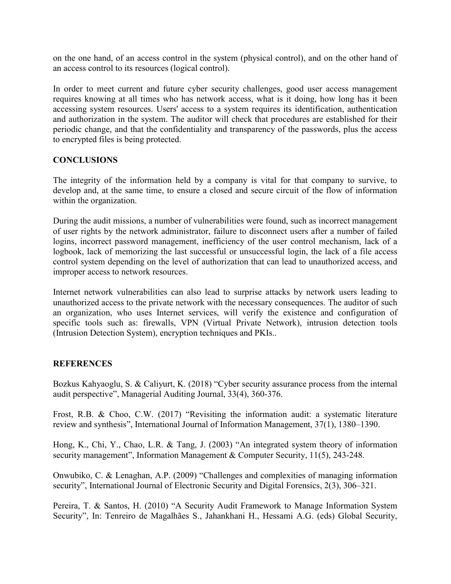on the one hand, of an access control in the system (physical control), and on the other hand of an access control to its resources (logical control).

In order to meet current and future cyber security challenges, good user access management requires knowing at all times who has network access, what is it doing, how long has it been accessing system resources. Users' access to a system requires its identification, authentication and authorization in the system. The auditor will check that procedures are established for their periodic change, and that the confidentiality and transparency of the passwords, plus the access to encrypted files is being protected.

## **CONCLUSIONS**

The integrity of the information held by a company is vital for that company to survive, to develop and, at the same time, to ensure a closed and secure circuit of the flow of information within the organization.

During the audit missions, a number of vulnerabilities were found, such as incorrect management of user rights by the network administrator, failure to disconnect users after a number of failed logins, incorrect password management, inefficiency of the user control mechanism, lack of a logbook, lack of memorizing the last successful or unsuccessful login, the lack of a file access control system depending on the level of authorization that can lead to unauthorized access, and improper access to network resources.

Internet network vulnerabilities can also lead to surprise attacks by network users leading to unauthorized access to the private network with the necessary consequences. The auditor of such an organization, who uses Internet services, will verify the existence and configuration of specific tools such as: firewalls, VPN (Virtual Private Network), intrusion detection tools (Intrusion Detection System), encryption techniques and PKIs..

### REFERENCES

Bozkus Kahyaoglu, S. & Caliyurt, K. (2018) "Cyber security assurance process from the internal audit perspective", Managerial Auditing Journal, 33(4), 360-376.

Frost, R.B. & Choo, C.W. (2017) "Revisiting the information audit: a systematic literature review and synthesis", International Journal of Information Management, 37(1), 1380–1390.

Hong, K., Chi, Y., Chao, L.R. & Tang, J. (2003) "An integrated system theory of information security management", Information Management & Computer Security, 11(5), 243-248.

Onwubiko, C. & Lenaghan, A.P. (2009) "Challenges and complexities of managing information security", International Journal of Electronic Security and Digital Forensics, 2(3), 306–321.

Pereira, T. & Santos, H. (2010) "A Security Audit Framework to Manage Information System Security", In: Tenreiro de Magalhães S., Jahankhani H., Hessami A.G. (eds) Global Security,